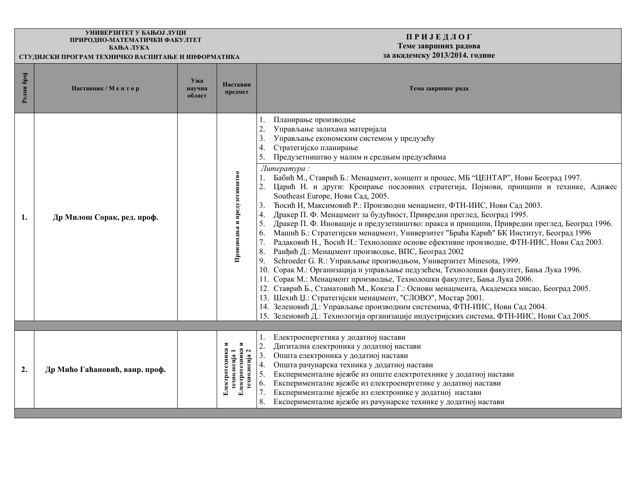## **ɍɇɂȼȿɊɁɂɌȿɌ ɍ ȻȺЊɈЈ Ʌɍɐɂ** ПРИРОДНО-МАТЕМАТИЧКИ ФАКУЛТЕТ **EXECUTE: EXECUTE: EXECUTE: EXECUTE: EXECUTE:**

**ɋɌɍȾɂЈɋɄɂ ɉɊɈȽɊȺɆ ɌȿɏɇɂɑɄɈ ȼȺɋɉɂɌȺЊȿ <sup>ɂ</sup> ɂɇɎɈɊɆȺɌɂɄȺ ɡɚ ɚɤɚɞɟɦɫɤɭ 2013/2014. ɝɨɞɢɧɟ** 

## **ɉ Ɋ ɂ Ј ȿ Ⱦ Ʌ Ɉ Ƚ Теме завршних радова**<br>за академску 2013/2014. године

| Редни број       | Наставник / Ментор             | Ужа<br>научна<br>област | Наставни<br>предмет                                                | Тема завршног рада                                                                                                                                                                                                                                                                                                                                                                                                                                                                                                                                                                                                                                                                                                                                                                                                                                                                                                                                                                                                                                                                                                                                                                                                                                                                                                                                                                                                                                                                                                                                                                      |
|------------------|--------------------------------|-------------------------|--------------------------------------------------------------------|-----------------------------------------------------------------------------------------------------------------------------------------------------------------------------------------------------------------------------------------------------------------------------------------------------------------------------------------------------------------------------------------------------------------------------------------------------------------------------------------------------------------------------------------------------------------------------------------------------------------------------------------------------------------------------------------------------------------------------------------------------------------------------------------------------------------------------------------------------------------------------------------------------------------------------------------------------------------------------------------------------------------------------------------------------------------------------------------------------------------------------------------------------------------------------------------------------------------------------------------------------------------------------------------------------------------------------------------------------------------------------------------------------------------------------------------------------------------------------------------------------------------------------------------------------------------------------------------|
| 1.               | Др Милош Сорак, ред. проф.     |                         | Производња и предузетништво                                        | Планирање производње<br>$\overline{2}$ .<br>Управљање залихама материјала<br>3.<br>Управљање економским системом у предузећу<br>Стратегијско планирање<br>4.<br>15.<br>Предузетништво у малим и средњим предузећима<br>Литература:<br>Бабић М., Ставрић Б.: Менаџмент, концепт и процес, МБ "ЦЕНТАР", Нови Београд 1997.<br>Царић Н. и други: Креирање пословних стратегија, Појмови, принципи и технике, Адижес<br>2.<br>Southeast Europe, Нови Сад, 2005.<br>Ћосић И, Максимовић Р.: Производни менаџмент, ФТН-ИИС, Нови Сад 2003.<br>3.<br>Дракер П. Ф. Менаџмент за будућност, Привредни преглед, Београд 1995.<br>4.<br>5.<br>Дракер П. Ф. Иновације и предузетништво: пракса и принципи, Привредни преглед, Београд 1996.<br>Машић Б.: Стратегијски менаџмент, Универзитет "Браћа Карић" БК Институт, Београд 1996<br>6.<br>7.<br>Радаковић Н., Ћосић И.: Технолошке основе ефективне производне, ФТН-ИИС, Нови Сад 2003.<br>Ранђић Д.: Менаџмент производње, ВПС, Београд 2002<br>8.<br>Schroeder G. R.: Управљање производњом, Универзитет Minesota, 1999.<br>9.<br>10. Сорак М.: Организација и управљање педузећем, Технолошки факултет, Бања Лука 1996.<br>11. Сорак М.: Менаџмент производње, Технолошки факултет, Бања Лука 2006.<br>12. Ставрић Б., Стаматовић М., Кокеза Г.: Основи менаџмента, Академска мисао, Београд 2005.<br>13. Шехић Џ.: Стратегијски менаџмент, "СЛОВО", Мостар 2001.<br>14. Зеленовић Д.: Управљање производним системима, ФТН-ИИС, Нови Сад 2004.<br>15. Зеленовић Д.: Технологија организације индустријских система, ФТН-ИИС, Нови Сад 2005. |
| $\overline{2}$ . | Др Мићо Гаћановић, ванр. проф. |                         | Електротехника и<br>Електротехника<br>гехнологија 1<br>гехнологија | Електроенергетика у додатној настави<br>Дигитална електроника у додатној настави<br>2.<br>Општа електроника у додатној настави<br>3.<br>Општа рачунарска техника у додатној настави<br>4.<br>5.<br>Експерименталне вјежбе из опште електротехнике у додатној настави<br>Експерименталне вјежбе из електроенергетике у додатној настави<br>6.<br>Експерименталне вјежбе из електронике у додатној настави<br>8.<br>Експерименталне вјежбе из рачунарске технике у додатној настави                                                                                                                                                                                                                                                                                                                                                                                                                                                                                                                                                                                                                                                                                                                                                                                                                                                                                                                                                                                                                                                                                                       |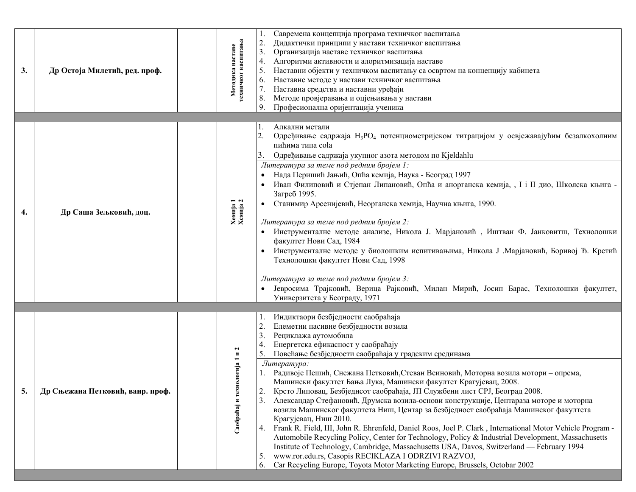| 3. | Др Остоја Милетић, ред. проф.    | техничког васпитања<br>наставе<br>Методика | Савремена концепција програма техничког васпитања<br>Дидактички принципи у настави техничког васпитања<br>2.<br>3.<br>Организација наставе техничког васпитања<br>Алгоритми активности и алоритмизација наставе<br>4.<br>5.<br>Наставни објекти у техничком васпитању са освртом на концепцију кабинета<br>Наставне методе у настави техничког васпитања<br>6.<br>Наставна средства и наставни уређаји<br>7.<br>8.<br>Методе провјеравања и оцјењивања у настави<br>9.<br>Професионална оријентација ученика                                                                                                                                                                                                                                                                                                                                                                                                                                                                                                                                                                                                                                                       |
|----|----------------------------------|--------------------------------------------|--------------------------------------------------------------------------------------------------------------------------------------------------------------------------------------------------------------------------------------------------------------------------------------------------------------------------------------------------------------------------------------------------------------------------------------------------------------------------------------------------------------------------------------------------------------------------------------------------------------------------------------------------------------------------------------------------------------------------------------------------------------------------------------------------------------------------------------------------------------------------------------------------------------------------------------------------------------------------------------------------------------------------------------------------------------------------------------------------------------------------------------------------------------------|
| 4. | Др Саша Зељковић, доц.           | Xemija 1<br>Xemija 2                       | Алкални метали<br>I.<br>Одређивање садржаја Н <sub>3</sub> РО <sub>4</sub> потенциометријском титрацијом у освјежавајућим безалкохолним<br>пићима типа cola<br>Одређивање садржаја укупног азота методом по Kjeldahlu<br>Литература за теме под редним бројем 1:<br>Нада Перишић Јањић, Опћа кемија, Наука - Београд 1997<br>Иван Филиповић и Стјепан Липановић, Опћа и анорганска кемија, , I і II дио, Школска књига -<br>Загреб 1995.<br>Станимир Арсенијевић, Неорганска хемија, Научна књига, 1990.<br>Литература за теме под редним бројем 2:<br>Инструменталне методе анализе, Никола Ј. Марјановић, Иштван Ф. Јанковитш, Технолошки<br>факултет Нови Сад, 1984<br>Инструменталне методе у биолошким испитивањима, Никола Ј .Марјановић, Боривој Ђ. Крстић<br>Технолошки факултет Нови Сад, 1998<br>Литература за теме под редним бројем 3:<br>Јевросима Трајковић, Верица Рајковић, Милан Мирић, Јосип Барас, Технолошки факултет,<br>Универзитета у Београду, 1971                                                                                                                                                                                        |
| 5. | Др Сњежана Петковић, ванр. проф. | нологија 1 и 2<br>Саобраћај и тех          | Индиктаори безбједности саобраћаја<br>Елеметни пасивне безбједности возила<br>3.<br>Рециклажа аутомобила<br>Енергетска ефикасност у саобраћају<br>4.<br>Повећање безбједности саобраћаја у градским срединама<br>Литература:<br>Радивоје Пешић, Снежана Петковић, Стеван Веиновић, Моторна возила мотори - опрема,<br>Машински факултет Бања Лука, Машински факултет Крагујевац, 2008.<br>Крсто Липовац, Безбједнсот саобраћаја, ЈП Службени лист СРЈ, Београд 2008.<br>2.<br>Александар Стефановић, Друмска возила-основи конструкције, Центараза моторе и моторна<br>3.<br>возила Машинског факултета Ниш, Центар за безбједност саобраћаја Машинског факултета<br>Крагујевац, Ниш 2010.<br>Frank R. Field, III, John R. Ehrenfeld, Daniel Roos, Joel P. Clark, International Motor Vehicle Program -<br>4.<br>Automobile Recycling Policy, Center for Technology, Policy & Industrial Development, Massachusetts<br>Institute of Technology, Cambridge, Massachusetts USA, Davos, Switzerland — February 1994<br>www.ror.edu.rs, Casopis RECIKLAZA I ODRZIVI RAZVOJ,<br>5.<br>Car Recycling Europe, Toyota Motor Marketing Europe, Brussels, Octobar 2002<br>6. |